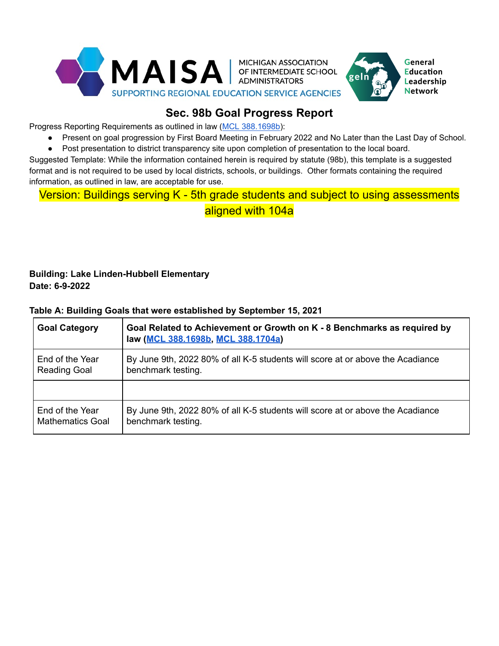

# **Sec. 98b Goal Progress Report**

Progress Reporting Requirements as outlined in law (MCL [388.1698b\)](https://legislature.mi.gov/(S(gnjkhui0gmmxno0qfdlmilq2))/mileg.aspx?page=getObject&objectName=mcl-388-1698b):

● Present on goal progression by First Board Meeting in February 2022 and No Later than the Last Day of School.

General **Education** Leadership **Network** 

● Post presentation to district transparency site upon completion of presentation to the local board.

Suggested Template: While the information contained herein is required by statute (98b), this template is a suggested format and is not required to be used by local districts, schools, or buildings. Other formats containing the required information, as outlined in law, are acceptable for use.

# Version: Buildings serving K - 5th grade students and subject to using assessments aligned with 104a

## **Building: Lake Linden-Hubbell Elementary Date: 6-9-2022**

Mathematics Goal

## **Goal Category Goal Related to Achievement or Growth on K - 8 Benchmarks as required by law (MCL [388.1698b,](https://legislature.mi.gov/(S(gnjkhui0gmmxno0qfdlmilq2))/mileg.aspx?page=getObject&objectName=mcl-388-1698b) MCL [388.1704a](https://www.legislature.mi.gov/(S(wqrwky4gfqfl25r00raa20il))/mileg.aspx?page=getObject&objectName=mcl-388-1704a))** End of the Year Reading Goal By June 9th, 2022 80% of all K-5 students will score at or above the Acadiance benchmark testing. End of the Year By June 9th, 2022 80% of all K-5 students will score at or above the Acadiance

#### **Table A: Building Goals that were established by September 15, 2021**

benchmark testing.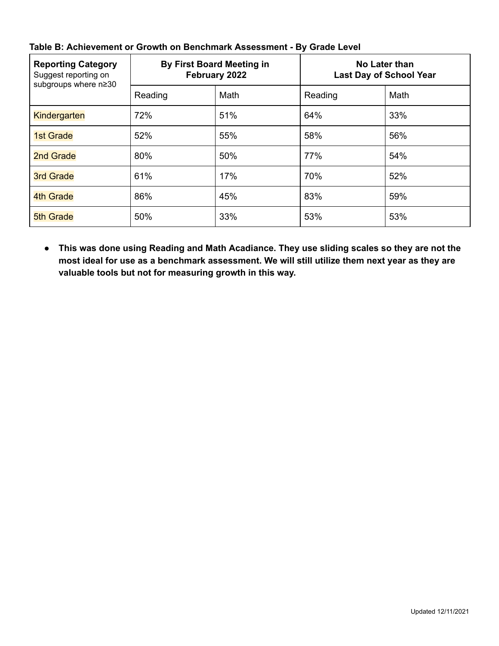| <b>Reporting Category</b><br>Suggest reporting on<br>subgroups where n≥30 | By First Board Meeting in<br>February 2022 |      | No Later than<br><b>Last Day of School Year</b> |      |
|---------------------------------------------------------------------------|--------------------------------------------|------|-------------------------------------------------|------|
|                                                                           | Reading                                    | Math | Reading                                         | Math |
| <b>Kindergarten</b>                                                       | 72%                                        | 51%  | 64%                                             | 33%  |
| <b>1st Grade</b>                                                          | 52%                                        | 55%  | 58%                                             | 56%  |
| 2nd Grade                                                                 | 80%                                        | 50%  | 77%                                             | 54%  |
| <b>3rd Grade</b>                                                          | 61%                                        | 17%  | 70%                                             | 52%  |
| 4th Grade                                                                 | 86%                                        | 45%  | 83%                                             | 59%  |
| <b>5th Grade</b>                                                          | 50%                                        | 33%  | 53%                                             | 53%  |

## **Table B: Achievement or Growth on Benchmark Assessment - By Grade Level**

**● This was done using Reading and Math Acadiance. They use sliding scales so they are not the most ideal for use as a benchmark assessment. We will still utilize them next year as they are valuable tools but not for measuring growth in this way.**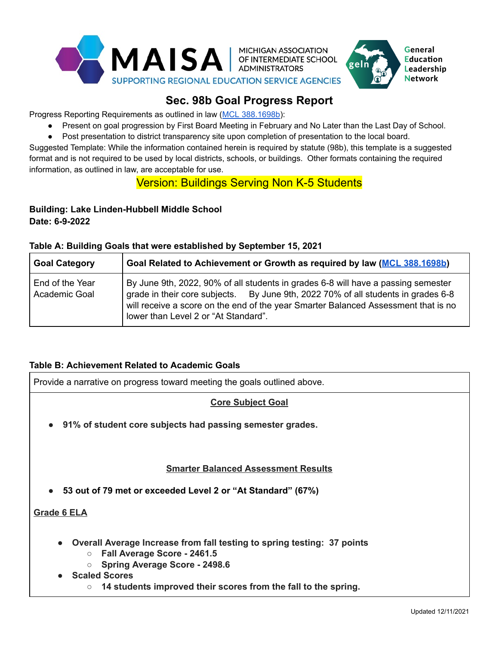



# **Sec. 98b Goal Progress Report**

Progress Reporting Requirements as outlined in law (MCL [388.1698b\)](https://legislature.mi.gov/(S(gnjkhui0gmmxno0qfdlmilq2))/mileg.aspx?page=getObject&objectName=mcl-388-1698b):

- Present on goal progression by First Board Meeting in February and No Later than the Last Day of School.
- Post presentation to district transparency site upon completion of presentation to the local board.

Suggested Template: While the information contained herein is required by statute (98b), this template is a suggested format and is not required to be used by local districts, schools, or buildings. Other formats containing the required information, as outlined in law, are acceptable for use.

## Version: Buildings Serving Non K-5 Students

## **Building: Lake Linden-Hubbell Middle School Date: 6-9-2022**

#### **Table A: Building Goals that were established by September 15, 2021**

| <b>Goal Category</b>             | Goal Related to Achievement or Growth as required by law (MCL 388.1698b)                                                                                                                                                                                                                             |
|----------------------------------|------------------------------------------------------------------------------------------------------------------------------------------------------------------------------------------------------------------------------------------------------------------------------------------------------|
| End of the Year<br>Academic Goal | By June 9th, 2022, 90% of all students in grades 6-8 will have a passing semester<br>grade in their core subjects. By June 9th, 2022 70% of all students in grades 6-8<br>will receive a score on the end of the year Smarter Balanced Assessment that is no<br>lower than Level 2 or "At Standard". |

### **Table B: Achievement Related to Academic Goals**

Provide a narrative on progress toward meeting the goals outlined above.

### **Core Subject Goal**

**● 91% of student core subjects had passing semester grades.**

#### **Smarter Balanced Assessment Results**

**● 53 out of 79 met or exceeded Level 2 or "At Standard" (67%)**

**Grade 6 ELA**

- **● Overall Average Increase from fall testing to spring testing: 37 points**
	- **○ Fall Average Score - 2461.5**
	- **○ Spring Average Score - 2498.6**
- **● Scaled Scores**
	- **○ 14 students improved their scores from the fall to the spring.**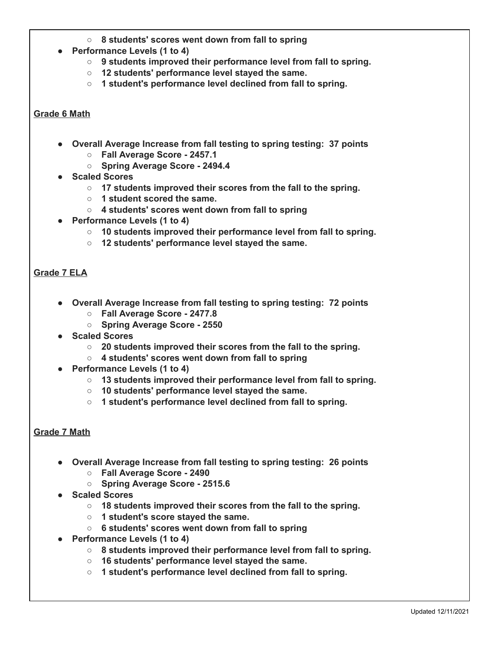- **○ 8 students' scores went down from fall to spring**
- **● Performance Levels (1 to 4)**
	- **○ 9 students improved their performance level from fall to spring.**
	- **○ 12 students' performance level stayed the same.**
	- **○ 1 student's performance level declined from fall to spring.**

#### **Grade 6 Math**

- **● Overall Average Increase from fall testing to spring testing: 37 points**
	- **○ Fall Average Score - 2457.1**
	- **○ Spring Average Score - 2494.4**
- **● Scaled Scores**
	- **○ 17 students improved their scores from the fall to the spring.**
	- **○ 1 student scored the same.**
	- **○ 4 students' scores went down from fall to spring**
- **● Performance Levels (1 to 4)**
	- **○ 10 students improved their performance level from fall to spring.**
	- **○ 12 students' performance level stayed the same.**

#### **Grade 7 ELA**

- **● Overall Average Increase from fall testing to spring testing: 72 points**
	- **○ Fall Average Score - 2477.8**
	- **○ Spring Average Score - 2550**
- **● Scaled Scores**
	- **○ 20 students improved their scores from the fall to the spring.**
	- **○ 4 students' scores went down from fall to spring**
- **● Performance Levels (1 to 4)**
	- **○ 13 students improved their performance level from fall to spring.**
	- **○ 10 students' performance level stayed the same.**
	- **○ 1 student's performance level declined from fall to spring.**

#### **Grade 7 Math**

- **● Overall Average Increase from fall testing to spring testing: 26 points**
	- **○ Fall Average Score - 2490**
	- **○ Spring Average Score - 2515.6**
- **● Scaled Scores**
	- **○ 18 students improved their scores from the fall to the spring.**
	- **○ 1 student's score stayed the same.**
	- **○ 6 students' scores went down from fall to spring**
- **● Performance Levels (1 to 4)**
	- **○ 8 students improved their performance level from fall to spring.**
	- **○ 16 students' performance level stayed the same.**
	- **○ 1 student's performance level declined from fall to spring.**